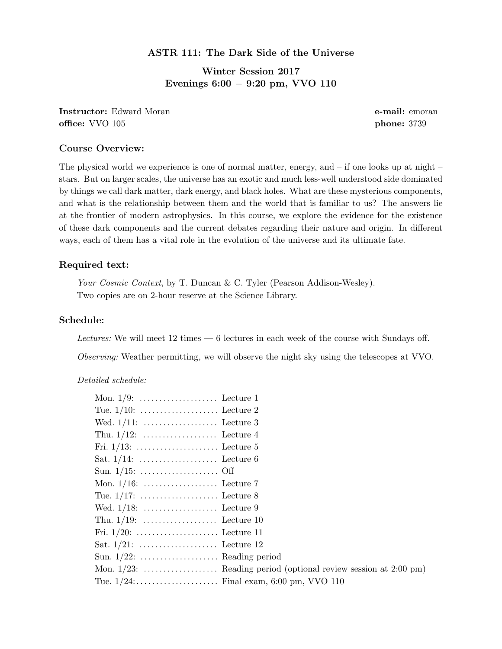## ASTR 111: The Dark Side of the Universe

Winter Session 2017 Evenings 6:00 − 9:20 pm, VVO 110

Instructor: Edward Moran e-mail: emoran e-mail: emoran e-mail: emoran e-mail: emoran e-mail: emoran e-mail: emoran e-mail: emoran e-mail: emoran e-mail: emoran e-mail: emoran e-mail: emoran e-mail: emoran e-mail: emoran eoffice: VVO 105 phone: 3739

### Course Overview:

The physical world we experience is one of normal matter, energy, and – if one looks up at night – stars. But on larger scales, the universe has an exotic and much less-well understood side dominated by things we call dark matter, dark energy, and black holes. What are these mysterious components, and what is the relationship between them and the world that is familiar to us? The answers lie at the frontier of modern astrophysics. In this course, we explore the evidence for the existence of these dark components and the current debates regarding their nature and origin. In different ways, each of them has a vital role in the evolution of the universe and its ultimate fate.

#### Required text:

Your Cosmic Context, by T. Duncan & C. Tyler (Pearson Addison-Wesley). Two copies are on 2-hour reserve at the Science Library.

## Schedule:

Lectures: We will meet 12 times — 6 lectures in each week of the course with Sundays off.

Observing: Weather permitting, we will observe the night sky using the telescopes at VVO.

Detailed schedule:

| Wed. $1/11:$ Lecture 3        |  |
|-------------------------------|--|
|                               |  |
|                               |  |
|                               |  |
|                               |  |
|                               |  |
|                               |  |
|                               |  |
|                               |  |
|                               |  |
|                               |  |
| Sun. $1/22$ :  Reading period |  |
|                               |  |
|                               |  |